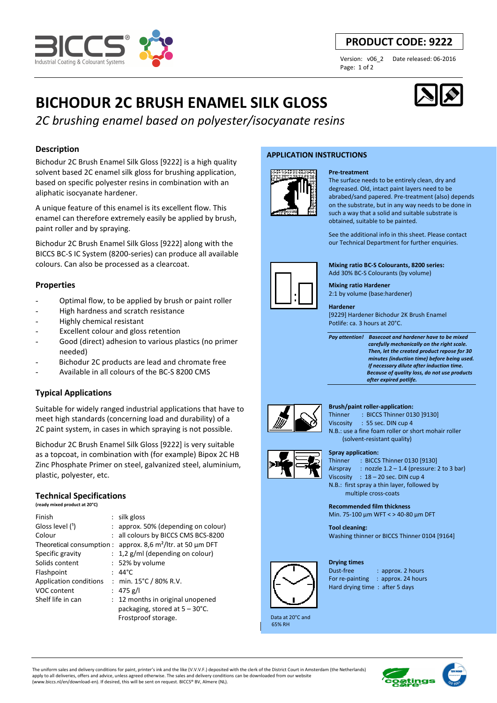

## **PRODUCT CODE: 9222**

Page: 1 of 2

Version: v06\_2 Date released: 06-2016

# **BICHODUR 2C BRUSH ENAMEL SILK GLOSS**

*2C brushing enamel based on polyester/isocyanate resins* 

## **Description**

Bichodur 2C Brush Enamel Silk Gloss [9222] is a high quality solvent based 2C enamel silk gloss for brushing application, based on specific polyester resins in combination with an aliphatic isocyanate hardener.

A unique feature of this enamel is its excellent flow. This enamel can therefore extremely easily be applied by brush, paint roller and by spraying.

Bichodur 2C Brush Enamel Silk Gloss [9222] along with the BICCS BC-S IC System (8200-series) can produce all available colours. Can also be processed as a clearcoat.

## **Properties**

- Optimal flow, to be applied by brush or paint roller
- High hardness and scratch resistance
- Highly chemical resistant
- Excellent colour and gloss retention
- Good (direct) adhesion to various plastics (no primer needed)
- Bichodur 2C products are lead and chromate free
- Available in all colours of the BC-S 8200 CMS

## **Typical Applications**

Suitable for widely ranged industrial applications that have to meet high standards (concerning load and durability) of a 2C paint system, in cases in which spraying is not possible.

Bichodur 2C Brush Enamel Silk Gloss [9222] is very suitable as a topcoat, in combination with (for example) Bipox 2C HB Zinc Phosphate Primer on steel, galvanized steel, aluminium, plastic, polyester, etc.

## **Technical Specifications**

**(ready mixed product at 20°C)**

| Finish                    | $:$ silk gloss                           |
|---------------------------|------------------------------------------|
| Gloss level (1)           | : approx. 50% (depending on colour)      |
| Colour                    | : all colours by BICCS CMS BCS-8200      |
| Theoretical consumption : | approx. 8,6 $m^2$ /ltr. at 50 µm DFT     |
| Specific gravity          | $: 1,2$ g/ml (depending on colour)       |
| Solids content            | : 52% by volume                          |
| Flashpoint                | $44^{\circ}$ C                           |
| Application conditions    | : min. $15^{\circ}$ C / 80% R.V.         |
| VOC content               | : 475 g/l                                |
| Shelf life in can         | 12 months in original unopened           |
|                           | packaging, stored at $5 - 30^{\circ}$ C. |
|                           | Frostproof storage.                      |

#### **APPLICATION INSTRUCTIONS**



#### **Pre-treatment**

The surface needs to be entirely clean, dry and degreased. Old, intact paint layers need to be abrabed/sand papered. Pre-treatment (also) depends on the substrate, but in any way needs to be done in such a way that a solid and suitable substrate is obtained, suitable to be painted.

See the additional info in this sheet. Please contact our Technical Department for further enquiries.

**Mixing ratio BC-S Colourants, 8200 series:**  Add 30% BC-S Colourants (by volume)

**Mixing ratio Hardener**  2:1 by volume (base:hardener)

#### **Hardener**

[9229] Hardener Bichodur 2K Brush Enamel Potlife: ca. 3 hours at 20°C.

*Pay attention! Basecoat and hardener have to be mixed carefully mechanically on the right scale. Then, let the created product repose for 30 minutes (induction time) before being used. If necessary dilute after induction time. Because of quality loss, do not use products after expired potlife.*



#### **Brush/paint roller-application:**

Thinner : BICCS Thinner 0130 ]9130] Viscosity : 55 sec. DIN cup 4 N.B.: use a fine foam roller or short mohair roller (solvent-resistant quality)



#### **Spray application:**

Thinner : BICCS Thinner 0130 [9130] Airspray : nozzle 1.2 – 1.4 (pressure: 2 to 3 bar) Viscosity : 18 – 20 sec. DIN cup 4 N.B.: first spray a thin layer, followed by multiple cross-coats

Min. 75-100 µm WFT < > 40-80 µm DFT

**Tool cleaning:**  Washing thinner or BICCS Thinner 0104 [9164]

#### **Drying times**



Dust-free : approx. 2 hours For re-painting : approx. 24 hours Hard drying time : after 5 days

 Data at 20°C and 65% RH

The uniform sales and delivery conditions for paint, printer's ink and the like (V.V.V.F.) deposited with the clerk of the District Court in Amsterdam (the Netherlands) apply to all deliveries, offers and advice, unless agreed otherwise. The sales and delivery conditions can be downloaded from our website (www.biccs.nl/en/download-en). If desired, this will be sent on request. BICCS® BV, Almere (NL).